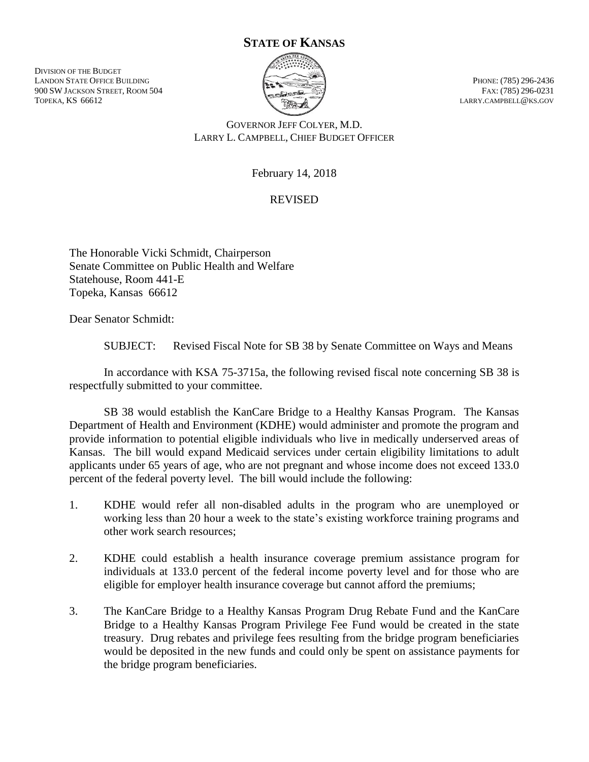## **STATE OF KANSAS**

DIVISION OF THE BUDGET LANDON STATE OFFICE BUILDING PHONE: (785) 296-2436 900 SW JACKSON STREET, ROOM 504 FAX: (785) 296-0231 TOPEKA, KS 66612 LARRY.CAMPBELL@KS.GOV



GOVERNOR JEFF COLYER, M.D. LARRY L. CAMPBELL, CHIEF BUDGET OFFICER

February 14, 2018

## REVISED

The Honorable Vicki Schmidt, Chairperson Senate Committee on Public Health and Welfare Statehouse, Room 441-E Topeka, Kansas 66612

Dear Senator Schmidt:

SUBJECT: Revised Fiscal Note for SB 38 by Senate Committee on Ways and Means

In accordance with KSA 75-3715a, the following revised fiscal note concerning SB 38 is respectfully submitted to your committee.

SB 38 would establish the KanCare Bridge to a Healthy Kansas Program. The Kansas Department of Health and Environment (KDHE) would administer and promote the program and provide information to potential eligible individuals who live in medically underserved areas of Kansas. The bill would expand Medicaid services under certain eligibility limitations to adult applicants under 65 years of age, who are not pregnant and whose income does not exceed 133.0 percent of the federal poverty level. The bill would include the following:

- 1. KDHE would refer all non-disabled adults in the program who are unemployed or working less than 20 hour a week to the state's existing workforce training programs and other work search resources;
- 2. KDHE could establish a health insurance coverage premium assistance program for individuals at 133.0 percent of the federal income poverty level and for those who are eligible for employer health insurance coverage but cannot afford the premiums;
- 3. The KanCare Bridge to a Healthy Kansas Program Drug Rebate Fund and the KanCare Bridge to a Healthy Kansas Program Privilege Fee Fund would be created in the state treasury. Drug rebates and privilege fees resulting from the bridge program beneficiaries would be deposited in the new funds and could only be spent on assistance payments for the bridge program beneficiaries.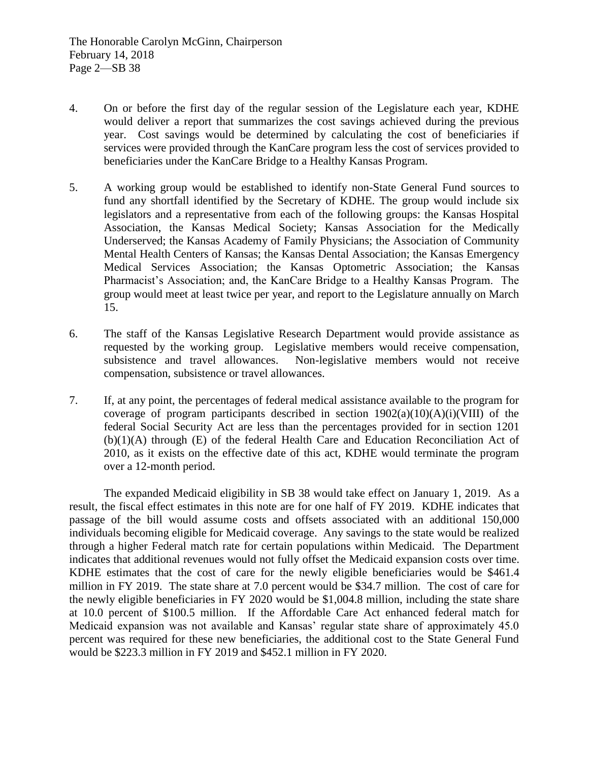- 4. On or before the first day of the regular session of the Legislature each year, KDHE would deliver a report that summarizes the cost savings achieved during the previous year. Cost savings would be determined by calculating the cost of beneficiaries if services were provided through the KanCare program less the cost of services provided to beneficiaries under the KanCare Bridge to a Healthy Kansas Program.
- 5. A working group would be established to identify non-State General Fund sources to fund any shortfall identified by the Secretary of KDHE. The group would include six legislators and a representative from each of the following groups: the Kansas Hospital Association, the Kansas Medical Society; Kansas Association for the Medically Underserved; the Kansas Academy of Family Physicians; the Association of Community Mental Health Centers of Kansas; the Kansas Dental Association; the Kansas Emergency Medical Services Association; the Kansas Optometric Association; the Kansas Pharmacist's Association; and, the KanCare Bridge to a Healthy Kansas Program. The group would meet at least twice per year, and report to the Legislature annually on March 15.
- 6. The staff of the Kansas Legislative Research Department would provide assistance as requested by the working group. Legislative members would receive compensation, subsistence and travel allowances. Non-legislative members would not receive compensation, subsistence or travel allowances.
- 7. If, at any point, the percentages of federal medical assistance available to the program for coverage of program participants described in section  $1902(a)(10)(A)(i)(VIII)$  of the federal Social Security Act are less than the percentages provided for in section 1201 (b)(1)(A) through (E) of the federal Health Care and Education Reconciliation Act of 2010, as it exists on the effective date of this act, KDHE would terminate the program over a 12-month period.

The expanded Medicaid eligibility in SB 38 would take effect on January 1, 2019. As a result, the fiscal effect estimates in this note are for one half of FY 2019. KDHE indicates that passage of the bill would assume costs and offsets associated with an additional 150,000 individuals becoming eligible for Medicaid coverage. Any savings to the state would be realized through a higher Federal match rate for certain populations within Medicaid. The Department indicates that additional revenues would not fully offset the Medicaid expansion costs over time. KDHE estimates that the cost of care for the newly eligible beneficiaries would be \$461.4 million in FY 2019. The state share at 7.0 percent would be \$34.7 million. The cost of care for the newly eligible beneficiaries in FY 2020 would be \$1,004.8 million, including the state share at 10.0 percent of \$100.5 million. If the Affordable Care Act enhanced federal match for Medicaid expansion was not available and Kansas' regular state share of approximately 45.0 percent was required for these new beneficiaries, the additional cost to the State General Fund would be \$223.3 million in FY 2019 and \$452.1 million in FY 2020.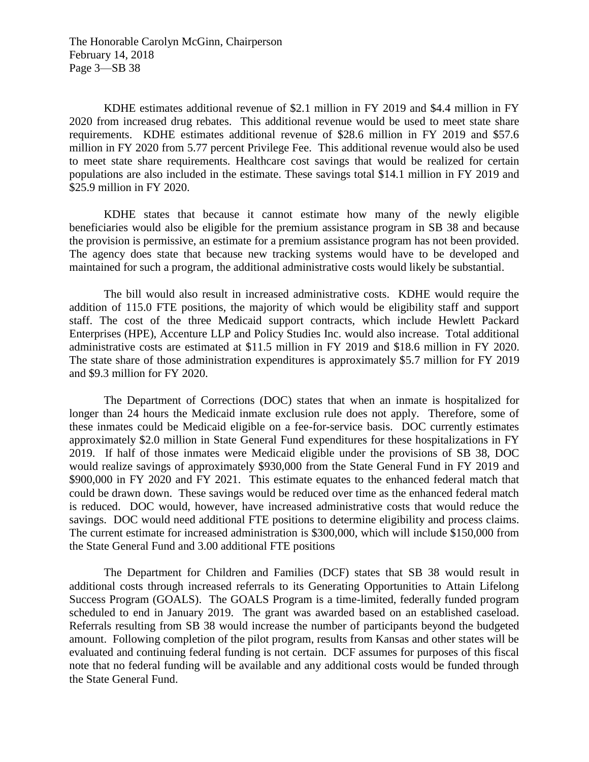The Honorable Carolyn McGinn, Chairperson February 14, 2018 Page 3—SB 38

KDHE estimates additional revenue of \$2.1 million in FY 2019 and \$4.4 million in FY 2020 from increased drug rebates. This additional revenue would be used to meet state share requirements. KDHE estimates additional revenue of \$28.6 million in FY 2019 and \$57.6 million in FY 2020 from 5.77 percent Privilege Fee. This additional revenue would also be used to meet state share requirements. Healthcare cost savings that would be realized for certain populations are also included in the estimate. These savings total \$14.1 million in FY 2019 and \$25.9 million in FY 2020.

KDHE states that because it cannot estimate how many of the newly eligible beneficiaries would also be eligible for the premium assistance program in SB 38 and because the provision is permissive, an estimate for a premium assistance program has not been provided. The agency does state that because new tracking systems would have to be developed and maintained for such a program, the additional administrative costs would likely be substantial.

The bill would also result in increased administrative costs. KDHE would require the addition of 115.0 FTE positions, the majority of which would be eligibility staff and support staff. The cost of the three Medicaid support contracts, which include Hewlett Packard Enterprises (HPE), Accenture LLP and Policy Studies Inc. would also increase. Total additional administrative costs are estimated at \$11.5 million in FY 2019 and \$18.6 million in FY 2020. The state share of those administration expenditures is approximately \$5.7 million for FY 2019 and \$9.3 million for FY 2020.

The Department of Corrections (DOC) states that when an inmate is hospitalized for longer than 24 hours the Medicaid inmate exclusion rule does not apply. Therefore, some of these inmates could be Medicaid eligible on a fee-for-service basis. DOC currently estimates approximately \$2.0 million in State General Fund expenditures for these hospitalizations in FY 2019. If half of those inmates were Medicaid eligible under the provisions of SB 38, DOC would realize savings of approximately \$930,000 from the State General Fund in FY 2019 and \$900,000 in FY 2020 and FY 2021. This estimate equates to the enhanced federal match that could be drawn down. These savings would be reduced over time as the enhanced federal match is reduced. DOC would, however, have increased administrative costs that would reduce the savings. DOC would need additional FTE positions to determine eligibility and process claims. The current estimate for increased administration is \$300,000, which will include \$150,000 from the State General Fund and 3.00 additional FTE positions

The Department for Children and Families (DCF) states that SB 38 would result in additional costs through increased referrals to its Generating Opportunities to Attain Lifelong Success Program (GOALS). The GOALS Program is a time-limited, federally funded program scheduled to end in January 2019. The grant was awarded based on an established caseload. Referrals resulting from SB 38 would increase the number of participants beyond the budgeted amount. Following completion of the pilot program, results from Kansas and other states will be evaluated and continuing federal funding is not certain. DCF assumes for purposes of this fiscal note that no federal funding will be available and any additional costs would be funded through the State General Fund.